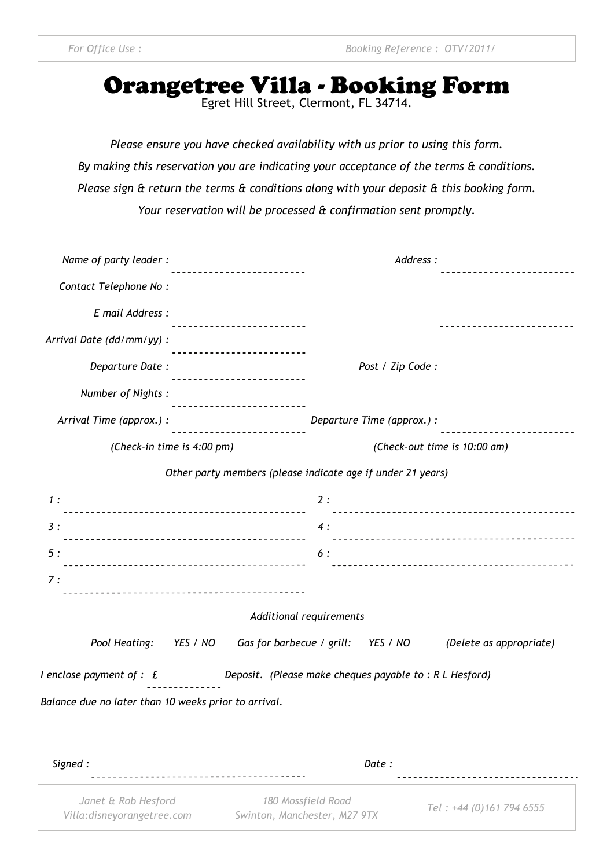# Orangetree Villa - Booking Form

*Please ensure you have checked availability with us prior to using this form. By making this reservation you are indicating your acceptance of the terms & conditions. Please sign & return the terms & conditions along with your deposit & this booking form. Your reservation will be processed & confirmation sent promptly.* 

| Name of party leader:                                                                                             | Address:                                                                          |                              |                            |  |  |
|-------------------------------------------------------------------------------------------------------------------|-----------------------------------------------------------------------------------|------------------------------|----------------------------|--|--|
| Contact Telephone No:                                                                                             | ----------------------                                                            |                              | .                          |  |  |
|                                                                                                                   |                                                                                   |                              |                            |  |  |
| E mail Address :                                                                                                  |                                                                                   |                              | -------------------------- |  |  |
| Arrival Date (dd/mm/yy) :                                                                                         |                                                                                   |                              |                            |  |  |
| Departure Date:                                                                                                   | <u>________________________</u>                                                   | Post / Zip Code:             |                            |  |  |
| Number of Nights:                                                                                                 | ----------------------                                                            |                              | ------------------------   |  |  |
| Arrival Time (approx.) :                                                                                          | ------------------------                                                          | Departure Time (approx.) :   | -------------------------  |  |  |
| (Check-in time is 4:00 pm)                                                                                        |                                                                                   | (Check-out time is 10:00 am) |                            |  |  |
|                                                                                                                   | Other party members (please indicate age if under 21 years)                       |                              |                            |  |  |
| 1:                                                                                                                |                                                                                   | 2:                           |                            |  |  |
| 3:                                                                                                                |                                                                                   | 4:                           |                            |  |  |
| 5:                                                                                                                |                                                                                   | 6 :                          |                            |  |  |
| 7:                                                                                                                |                                                                                   |                              |                            |  |  |
| Additional requirements                                                                                           |                                                                                   |                              |                            |  |  |
|                                                                                                                   | Pool Heating: YES / NO Gas for barbecue / grill: YES / NO (Delete as appropriate) |                              |                            |  |  |
| I enclose payment of $: \mathfrak{L}$ Deposit. (Please make cheques payable to $: \mathsf{R} \mathsf{L}$ Hesford) |                                                                                   |                              |                            |  |  |
| Balance due no later than 10 weeks prior to arrival.                                                              |                                                                                   |                              |                            |  |  |
|                                                                                                                   |                                                                                   |                              |                            |  |  |
|                                                                                                                   |                                                                                   |                              |                            |  |  |

| Signed :                                           | Date :                                             |                          |
|----------------------------------------------------|----------------------------------------------------|--------------------------|
| Janet & Rob Hesford<br>Villa: disneyorangetree.com | 180 Mossfield Road<br>Swinton, Manchester, M27 9TX | Tel: +44 (0)161 794 6555 |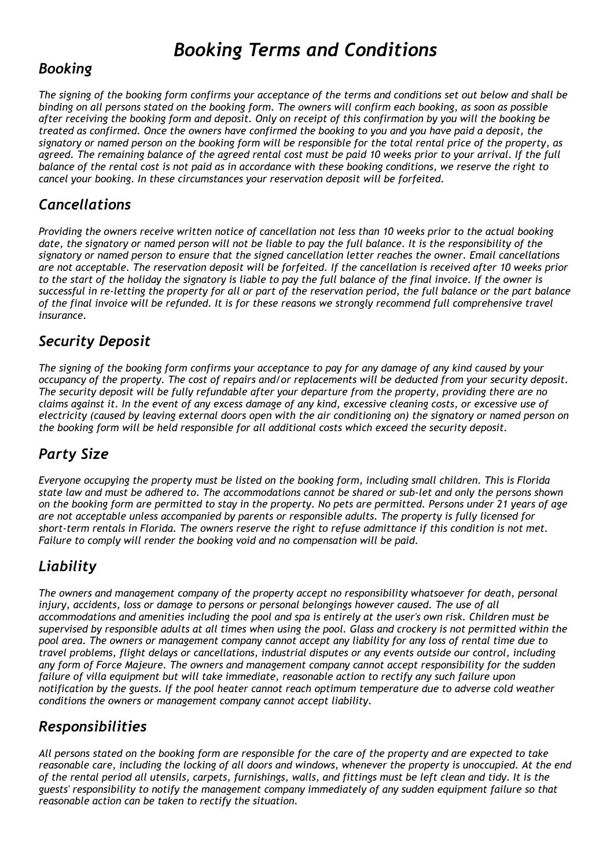## *Booking Terms and Conditions*

## *Booking*

*The signing of the booking form confirms your acceptance of the terms and conditions set out below and shall be binding on all persons stated on the booking form. The owners will confirm each booking, as soon as possible after receiving the booking form and deposit. Only on receipt of this confirmation by you will the booking be treated as confirmed. Once the owners have confirmed the booking to you and you have paid a deposit, the signatory or named person on the booking form will be responsible for the total rental price of the property, as agreed. The remaining balance of the agreed rental cost must be paid 10 weeks prior to your arrival. If the full balance of the rental cost is not paid as in accordance with these booking conditions, we reserve the right to cancel your booking. In these circumstances your reservation deposit will be forfeited.* 

## *Cancellations*

*Providing the owners receive written notice of cancellation not less than 10 weeks prior to the actual booking*  date, the signatory or named person will not be liable to pay the full balance. It is the responsibility of the *signatory or named person to ensure that the signed cancellation letter reaches the owner. Email cancellations are not acceptable. The reservation deposit will be forfeited. If the cancellation is received after 10 weeks prior to the start of the holiday the signatory is liable to pay the full balance of the final invoice. If the owner is successful in re-letting the property for all or part of the reservation period, the full balance or the part balance of the final invoice will be refunded. It is for these reasons we strongly recommend full comprehensive travel insurance.* 

## *Security Deposit*

*The signing of the booking form confirms your acceptance to pay for any damage of any kind caused by your occupancy of the property. The cost of repairs and/or replacements will be deducted from your security deposit. The security deposit will be fully refundable after your departure from the property, providing there are no claims against it. In the event of any excess damage of any kind, excessive cleaning costs, or excessive use of electricity (caused by leaving external doors open with the air conditioning on) the signatory or named person on the booking form will be held responsible for all additional costs which exceed the security deposit.* 

## *Party Size*

*Everyone occupying the property must be listed on the booking form, including small children. This is Florida state law and must be adhered to. The accommodations cannot be shared or sub-let and only the persons shown on the booking form are permitted to stay in the property. No pets are permitted. Persons under 21 years of age are not acceptable unless accompanied by parents or responsible adults. The property is fully licensed for short-term rentals in Florida. The owners reserve the right to refuse admittance if this condition is not met. Failure to comply will render the booking void and no compensation will be paid.* 

## *Liability*

*The owners and management company of the property accept no responsibility whatsoever for death, personal*  injury, accidents, loss or damage to persons or personal belongings however caused. The use of all *accommodations and amenities including the pool and spa is entirely at the user's own risk. Children must be supervised by responsible adults at all times when using the pool. Glass and crockery is not permitted within the pool area. The owners or management company cannot accept any liability for any loss of rental time due to travel problems, flight delays or cancellations, industrial disputes or any events outside our control, including any form of Force Majeure. The owners and management company cannot accept responsibility for the sudden failure of villa equipment but will take immediate, reasonable action to rectify any such failure upon notification by the guests. If the pool heater cannot reach optimum temperature due to adverse cold weather conditions the owners or management company cannot accept liability.* 

## *Responsibilities*

*All persons stated on the booking form are responsible for the care of the property and are expected to take reasonable care, including the locking of all doors and windows, whenever the property is unoccupied. At the end of the rental period all utensils, carpets, furnishings, walls, and fittings must be left clean and tidy. It is the guests' responsibility to notify the management company immediately of any sudden equipment failure so that reasonable action can be taken to rectify the situation.*